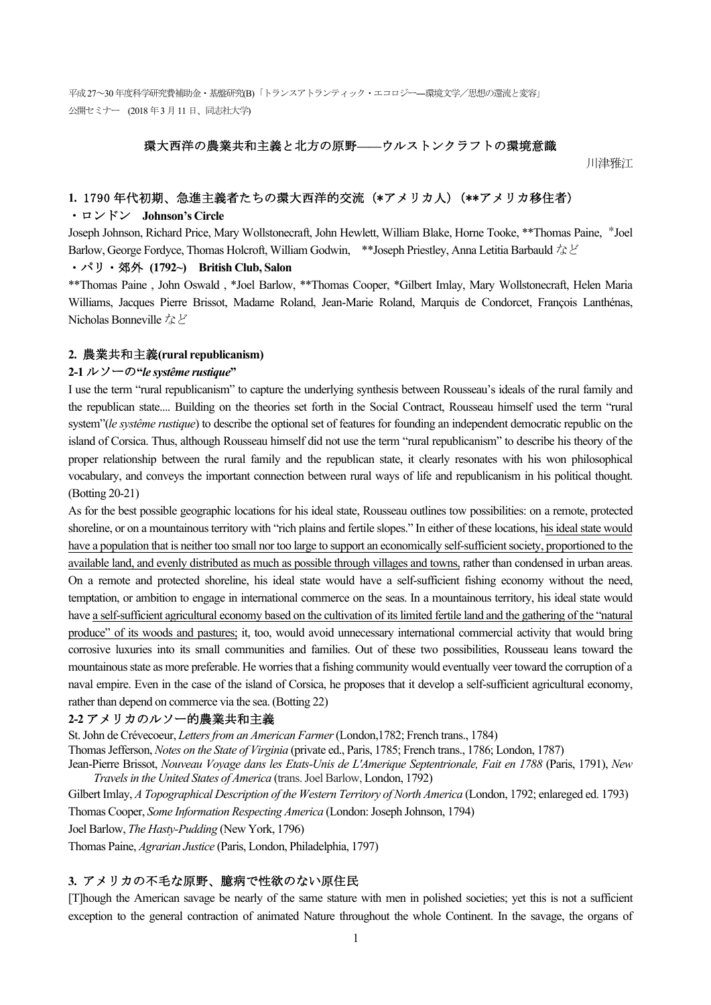### 環大西洋の農業共和主義と北方の原野**——**ウルストンクラフトの環境意識

川津雅江

### **1.** 1790 年代初期、急進主義者たちの環大西洋的交流(\*アメリカ人)(\*\*アメリカ移住者)

# ・ロンドン **Johnson's Circle**

Joseph Johnson, Richard Price, Mary Wollstonecraft, John Hewlett, William Blake, Horne Tooke, \*\*Thomas Paine, \*Joel Barlow, George Fordyce, Thomas Holcroft, William Godwin, \*\*Joseph Priestley, Anna Letitia Barbauld など

#### ・パリ・郊外 **(1792~) British Club, Salon**

\*\*Thomas Paine , John Oswald , \*Joel Barlow, \*\*Thomas Cooper, \*Gilbert Imlay, Mary Wollstonecraft, Helen Maria Williams, Jacques Pierre Brissot, Madame Roland, Jean-Marie Roland, Marquis de Condorcet, François Lanthénas, Nicholas Bonneville など

#### **2.** 農業共和主義**(rural republicanism)**

### **2-1** ルソーの**"***le systême rustique***"**

I use the term "rural republicanism" to capture the underlying synthesis between Rousseau's ideals of the rural family and the republican state.... Building on the theories set forth in the Social Contract, Rousseau himself used the term "rural system"(*le systême rustique*) to describe the optional set of features for founding an independent democratic republic on the island of Corsica. Thus, although Rousseau himself did not use the term "rural republicanism" to describe his theory of the proper relationship between the rural family and the republican state, it clearly resonates with his won philosophical vocabulary, and conveys the important connection between rural ways of life and republicanism in his political thought. (Botting 20-21)

As for the best possible geographic locations for his ideal state, Rousseau outlines tow possibilities: on a remote, protected shoreline, or on a mountainous territory with "rich plains and fertile slopes." In either of these locations, his ideal state would have a population that is neither too small nor too large to support an economically self-sufficient society, proportioned to the available land, and evenly distributed as much as possible through villages and towns, rather than condensed in urban areas. On a remote and protected shoreline, his ideal state would have a self-sufficient fishing economy without the need, temptation, or ambition to engage in international commerce on the seas. In a mountainous territory, his ideal state would have a self-sufficient agricultural economy based on the cultivation of its limited fertile land and the gathering of the "natural produce" of its woods and pastures; it, too, would avoid unnecessary international commercial activity that would bring corrosive luxuries into its small communities and families. Out of these two possibilities, Rousseau leans toward the mountainous state as more preferable. He worries that a fishing community would eventually veer toward the corruption of a naval empire. Even in the case of the island of Corsica, he proposes that it develop a self-sufficient agricultural economy, rather than depend on commerce via the sea. (Botting 22)

### **2-2** アメリカのルソー的農業共和主義

St. John de Crévecoeur, *Letters from an American Farmer*(London,1782; French trans., 1784)

Thomas Jefferson, *Notes on the State of Virginia* (private ed., Paris, 1785; French trans., 1786; London, 1787)

Jean-Pierre Brissot, *Nouveau Voyage dans les Etats-Unis de L'Amerique Septentrionale, Fait en 1788* (Paris, 1791), *New Travelsin the United States of America* (trans. Joel Barlow, London, 1792)

Gilbert Imlay, *A Topographical Description of the Western Territory of North America* (London, 1792; enlareged ed. 1793) Thomas Cooper, *Some Information Respecting America* (London: Joseph Johnson, 1794)

Joel Barlow, *The Hasty-Pudding* (New York, 1796)

Thomas Paine, *Agrarian Justice* (Paris, London, Philadelphia, 1797)

#### **3.** アメリカの不毛な原野、臆病で性欲のない原住民

[T]hough the American savage be nearly of the same stature with men in polished societies; yet this is not a sufficient exception to the general contraction of animated Nature throughout the whole Continent. In the savage, the organs of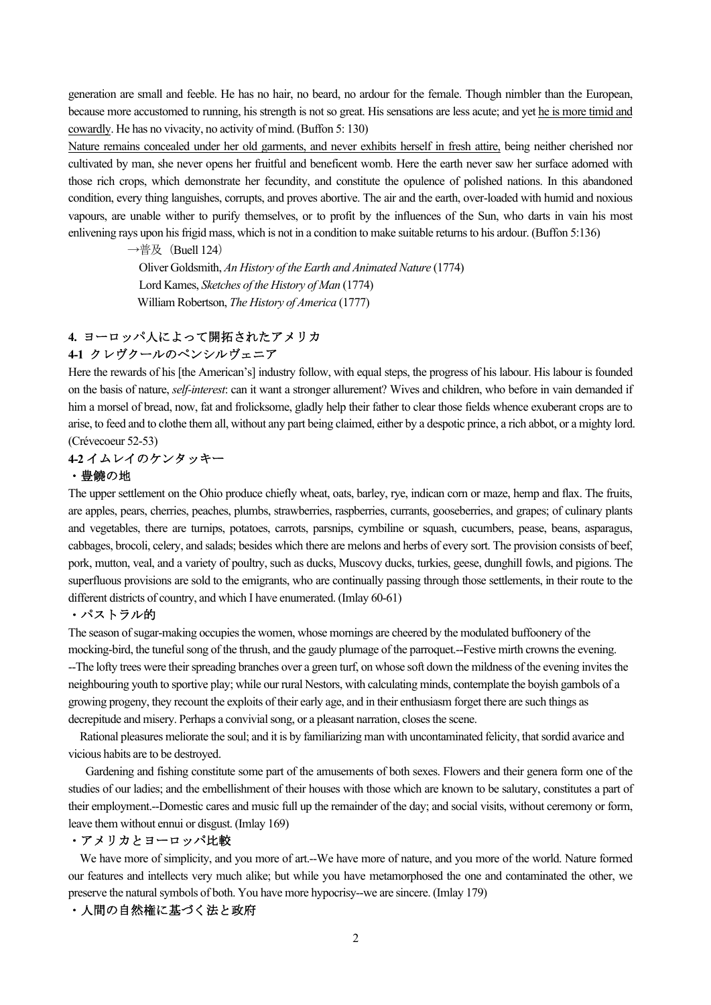generation are small and feeble. He has no hair, no beard, no ardour for the female. Though nimbler than the European, because more accustomed to running, his strength is not so great. His sensations are less acute; and yet he is more timid and cowardly. He has no vivacity, no activity of mind. (Buffon 5: 130)

Nature remains concealed under her old garments, and never exhibits herself in fresh attire, being neither cherished nor cultivated by man, she never opens her fruitful and beneficent womb. Here the earth never saw her surface adorned with those rich crops, which demonstrate her fecundity, and constitute the opulence of polished nations. In this abandoned condition, every thing languishes, corrupts, and proves abortive. The air and the earth, over-loaded with humid and noxious vapours, are unable wither to purify themselves, or to profit by the influences of the Sun, who darts in vain his most enlivening rays upon his frigid mass, which is not in a condition to make suitable returns to his ardour. (Buffon 5:136)

 $\rightarrow$ 普及 (Buell 124)

 Oliver Goldsmith, *An History of the Earth and Animated Nature* (1774) Lord Kames, *Sketches of the History of Man* (1774) William Robertson, *The History of America* (1777)

# **4.** ヨーロッパ人によって開拓されたアメリカ **4-1** クレヴクールのペンシルヴェニア

Here the rewards of his [the American's] industry follow, with equal steps, the progress of his labour. His labour is founded on the basis of nature, *self-interest*: can it want a stronger allurement? Wives and children, who before in vain demanded if him a morsel of bread, now, fat and frolicksome, gladly help their father to clear those fields whence exuberant crops are to arise, to feed and to clothe them all, without any part being claimed, either by a despotic prince, a rich abbot, or a mighty lord. (Crévecoeur 52-53)

# **4-2** イムレイのケンタッキー

# ・豊饒の地

The upper settlement on the Ohio produce chiefly wheat, oats, barley, rye, indican corn or maze, hemp and flax. The fruits, are apples, pears, cherries, peaches, plumbs, strawberries, raspberries, currants, gooseberries, and grapes; of culinary plants and vegetables, there are turnips, potatoes, carrots, parsnips, cymbiline or squash, cucumbers, pease, beans, asparagus, cabbages, brocoli, celery, and salads; besides which there are melons and herbs of every sort. The provision consists of beef, pork, mutton, veal, and a variety of poultry, such as ducks, Muscovy ducks, turkies, geese, dunghill fowls, and pigions. The superfluous provisions are sold to the emigrants, who are continually passing through those settlements, in their route to the different districts of country, and which I have enumerated. (Imlay 60-61)

#### ・パストラル的

The season of sugar-making occupies the women, whose mornings are cheered by the modulated buffoonery of the mocking-bird, the tuneful song of the thrush, and the gaudy plumage of the parroquet.--Festive mirth crowns the evening. --The lofty trees were their spreading branches over a green turf, on whose soft down the mildness of the evening invites the neighbouring youth to sportive play; while our rural Nestors, with calculating minds, contemplate the boyish gambols of a growing progeny, they recount the exploits of their early age, and in their enthusiasm forget there are such things as decrepitude and misery. Perhaps a convivial song, or a pleasant narration, closes the scene.

 Rational pleasures meliorate the soul; and it is by familiarizing man with uncontaminated felicity, that sordid avarice and vicious habits are to be destroyed.

 Gardening and fishing constitute some part of the amusements of both sexes. Flowers and their genera form one of the studies of our ladies; and the embellishment of their houses with those which are known to be salutary, constitutes a part of their employment.--Domestic cares and music full up the remainder of the day; and social visits, without ceremony or form, leave them without ennui or disgust. (Imlay 169)

### ・アメリカとヨーロッパ比較

We have more of simplicity, and you more of art.--We have more of nature, and you more of the world. Nature formed our features and intellects very much alike; but while you have metamorphosed the one and contaminated the other, we preserve the natural symbols of both. You have more hypocrisy--we are sincere. (Imlay 179)

### ・人間の自然権に基づく法と政府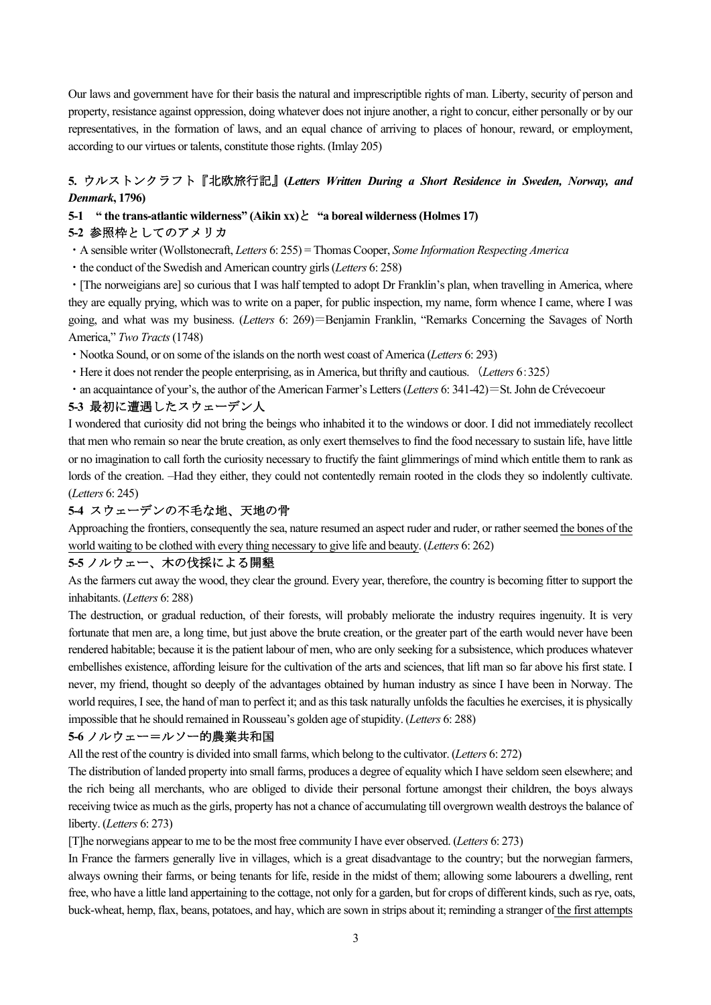Our laws and government have for their basis the natural and imprescriptible rights of man. Liberty, security of person and property, resistance against oppression, doing whatever does not injure another, a right to concur, either personally or by our representatives, in the formation of laws, and an equal chance of arriving to places of honour, reward, or employment, according to our virtues or talents, constitute those rights. (Imlay 205)

# **5.** ウルストンクラフト『北欧旅行記』**(***Letters Written During a Short Residence in Sweden, Norway, and Denmark***, 1796)**

# **5-1 " the trans-atlantic wilderness" (Aikin xx)**と **"a boreal wilderness (Holmes 17) 5-2** 参照枠としてのアメリカ

・A sensible writer (Wollstonecraft, *Letters* 6: 255) = Thomas Cooper, *Some Information Respecting America*

・the conduct of the Swedish and American country girls (*Letters* 6: 258)

・[The norweigians are] so curious that I was half tempted to adopt Dr Franklin's plan, when travelling in America, where they are equally prying, which was to write on a paper, for public inspection, my name, form whence I came, where I was going, and what was my business. (*Letters* 6: 269)=Benjamin Franklin, "Remarks Concerning the Savages of North America," *Two Tracts*(1748)

- ・Nootka Sound, or on some of the islands on the north west coast of America (*Letters* 6: 293)
- ・Here it does not render the people enterprising, as in America, but thrifty and cautious. (*Letters* 6:325)
- ・an acquaintance of your's, the author of the American Farmer's Letters (*Letters* 6: 341-42)=St. John de Crévecoeur

# **5-3** 最初に遭遇したスウェーデン人

I wondered that curiosity did not bring the beings who inhabited it to the windows or door. I did not immediately recollect that men who remain so near the brute creation, as only exert themselves to find the food necessary to sustain life, have little or no imagination to call forth the curiosity necessary to fructify the faint glimmerings of mind which entitle them to rank as lords of the creation. –Had they either, they could not contentedly remain rooted in the clods they so indolently cultivate. (*Letters* 6: 245)

# **5-4** スウェーデンの不毛な地、天地の骨

Approaching the frontiers, consequently the sea, nature resumed an aspect ruder and ruder, or rather seemed the bones of the world waiting to be clothed with every thing necessary to give life and beauty. (*Letters* 6: 262)

# **5-5** ノルウェー、木の伐採による開墾

As the farmers cut away the wood, they clear the ground. Every year, therefore, the country is becoming fitter to support the inhabitants. (*Letters* 6: 288)

The destruction, or gradual reduction, of their forests, will probably meliorate the industry requires ingenuity. It is very fortunate that men are, a long time, but just above the brute creation, or the greater part of the earth would never have been rendered habitable; because it is the patient labour of men, who are only seeking for a subsistence, which produces whatever embellishes existence, affording leisure for the cultivation of the arts and sciences, that lift man so far above his first state. I never, my friend, thought so deeply of the advantages obtained by human industry as since I have been in Norway. The world requires, I see, the hand of man to perfect it; and as this task naturally unfolds the faculties he exercises, it is physically impossible that he should remained in Rousseau's golden age of stupidity. (*Letters* 6: 288)

# **5-6** ノルウェー=ルソー的農業共和国

All the rest of the country is divided into small farms, which belong to the cultivator. (*Letters* 6: 272)

The distribution of landed property into small farms, produces a degree of equality which I have seldom seen elsewhere; and the rich being all merchants, who are obliged to divide their personal fortune amongst their children, the boys always receiving twice as much as the girls, property has not a chance of accumulating till overgrown wealth destroys the balance of liberty. (*Letters* 6: 273)

[T]he norwegians appear to me to be the most free community I have ever observed. (*Letters* 6: 273)

In France the farmers generally live in villages, which is a great disadvantage to the country; but the norwegian farmers, always owning their farms, or being tenants for life, reside in the midst of them; allowing some labourers a dwelling, rent free, who have a little land appertaining to the cottage, not only for a garden, but for crops of different kinds, such as rye, oats, buck-wheat, hemp, flax, beans, potatoes, and hay, which are sown in strips about it; reminding a stranger of the first attempts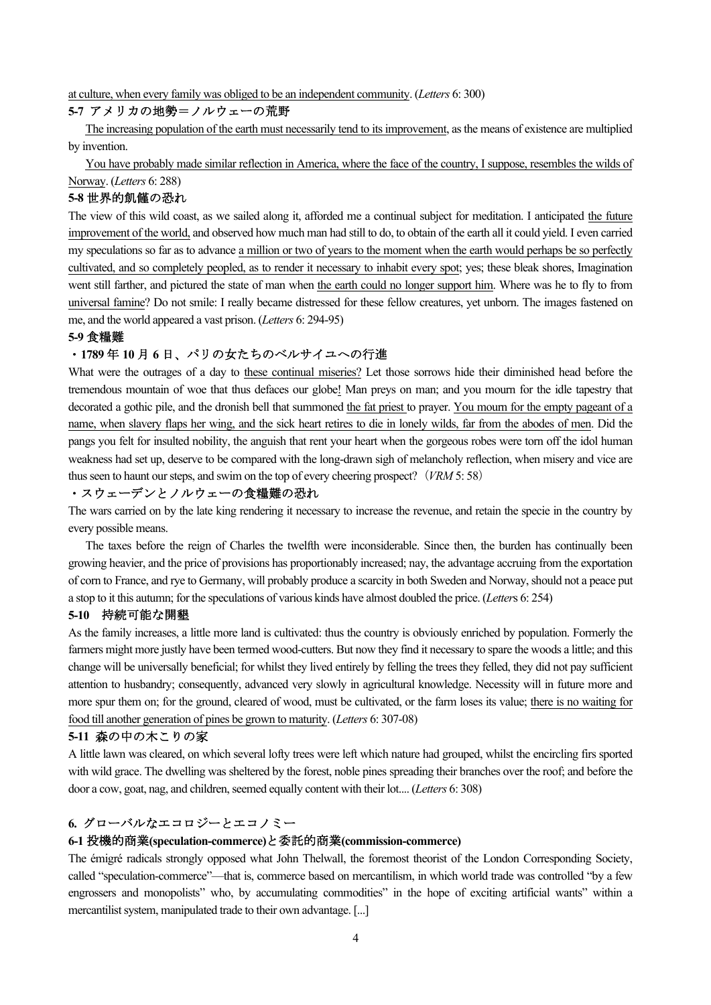at culture, when every family was obliged to be an independent community. (*Letters* 6: 300)

### **5-7** アメリカの地勢=ノルウェーの荒野

 The increasing population of the earth must necessarily tend to its improvement, as the means of existence are multiplied by invention.

 You have probably made similar reflection in America, where the face of the country, I suppose, resembles the wilds of Norway. (*Letters* 6: 288)

### **5-8** 世界的飢饉の恐れ

The view of this wild coast, as we sailed along it, afforded me a continual subject for meditation. I anticipated the future improvement of the world, and observed how much man had still to do, to obtain of the earth all it could yield. I even carried my speculations so far as to advance a million or two of years to the moment when the earth would perhaps be so perfectly cultivated, and so completely peopled, as to render it necessary to inhabit every spot; yes; these bleak shores, Imagination went still farther, and pictured the state of man when the earth could no longer support him. Where was he to fly to from universal famine? Do not smile: I really became distressed for these fellow creatures, yet unborn. The images fastened on me, and the world appeared a vast prison. (*Letters* 6: 294-95)

### **5-9** 食糧難

# ・**1789** 年 **10** 月 **6** 日、パリの女たちのベルサイユへの行進

What were the outrages of a day to these continual miseries? Let those sorrows hide their diminished head before the tremendous mountain of woe that thus defaces our globe! Man preys on man; and you mourn for the idle tapestry that decorated a gothic pile, and the dronish bell that summoned the fat priest to prayer. You mourn for the empty pageant of a name, when slavery flaps her wing, and the sick heart retires to die in lonely wilds, far from the abodes of men. Did the pangs you felt for insulted nobility, the anguish that rent your heart when the gorgeous robes were torn off the idol human weakness had set up, deserve to be compared with the long-drawn sigh of melancholy reflection, when misery and vice are thus seen to haunt our steps, and swim on the top of every cheering prospect? (*VRM* 5: 58)

# ・スウェーデンとノルウェーの食糧難の恐れ

The wars carried on by the late king rendering it necessary to increase the revenue, and retain the specie in the country by every possible means.

 The taxes before the reign of Charles the twelfth were inconsiderable. Since then, the burden has continually been growing heavier, and the price of provisions has proportionably increased; nay, the advantage accruing from the exportation of corn to France, and rye to Germany, will probably produce a scarcity in both Sweden and Norway, should not a peace put a stop to it this autumn; for the speculations of various kinds have almost doubled the price. (*Letter*s 6: 254)

### **5-10** 持続可能な開墾

As the family increases, a little more land is cultivated: thus the country is obviously enriched by population. Formerly the farmers might more justly have been termed wood-cutters. But now they find it necessary to spare the woods a little; and this change will be universally beneficial; for whilst they lived entirely by felling the trees they felled, they did not pay sufficient attention to husbandry; consequently, advanced very slowly in agricultural knowledge. Necessity will in future more and more spur them on; for the ground, cleared of wood, must be cultivated, or the farm loses its value; there is no waiting for food till another generation of pines be grown to maturity. (*Letters* 6: 307-08)

### **5-11** 森の中の木こりの家

A little lawn was cleared, on which several lofty trees were left which nature had grouped, whilst the encircling firs sported with wild grace. The dwelling was sheltered by the forest, noble pines spreading their branches over the roof; and before the door a cow, goat, nag, and children, seemed equally content with their lot.... (*Letters* 6: 308)

# **6.** グローバルなエコロジーとエコノミー

# **6-1** 投機的商業**(speculation-commerce)**と委託的商業**(commission-commerce)**

The émigré radicals strongly opposed what John Thelwall, the foremost theorist of the London Corresponding Society, called "speculation-commerce"—that is, commerce based on mercantilism, in which world trade was controlled "by a few engrossers and monopolists" who, by accumulating commodities" in the hope of exciting artificial wants" within a mercantilist system, manipulated trade to their own advantage. [...]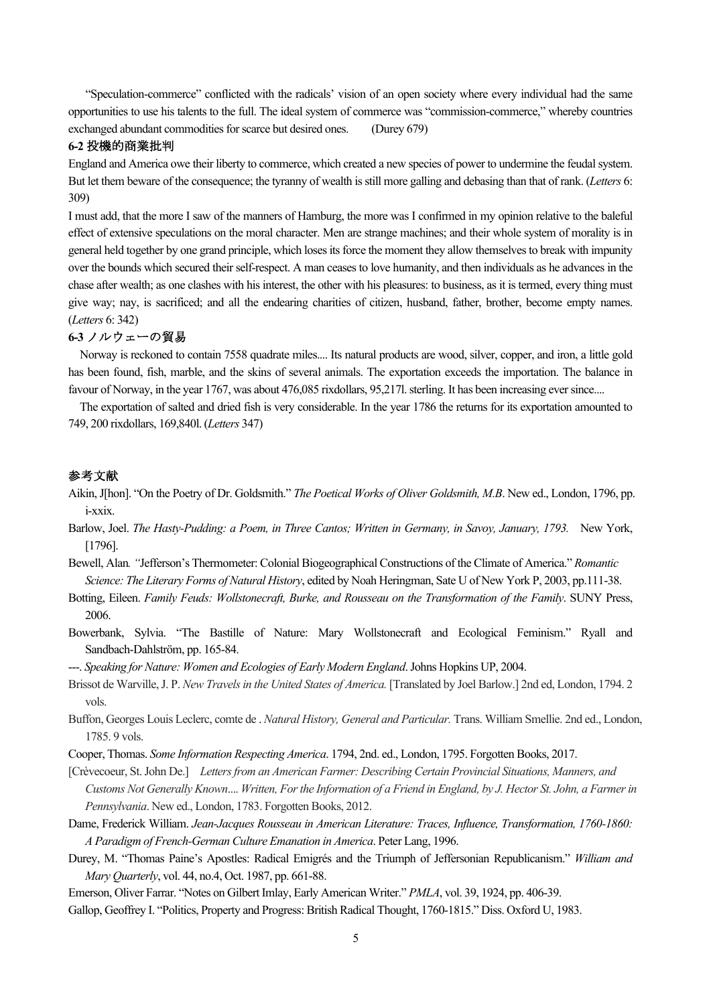"Speculation-commerce" conflicted with the radicals' vision of an open society where every individual had the same opportunities to use his talents to the full. The ideal system of commerce was "commission-commerce," whereby countries exchanged abundant commodities for scarce but desired ones. (Durey 679)

#### **6-2** 投機的商業批判

England and America owe their liberty to commerce, which created a new species of power to undermine the feudal system. But let them beware of the consequence; the tyranny of wealth is still more galling and debasing than that of rank. (*Letters* 6: 309)

I must add, that the more I saw of the manners of Hamburg, the more was I confirmed in my opinion relative to the baleful effect of extensive speculations on the moral character. Men are strange machines; and their whole system of morality is in general held together by one grand principle, which loses its force the moment they allow themselves to break with impunity over the bounds which secured their self-respect. A man ceases to love humanity, and then individuals as he advances in the chase after wealth; as one clashes with his interest, the other with his pleasures: to business, as it is termed, every thing must give way; nay, is sacrificed; and all the endearing charities of citizen, husband, father, brother, become empty names. (*Letters* 6: 342)

### **6-3** ノルウェーの貿易

 Norway is reckoned to contain 7558 quadrate miles.... Its natural products are wood, silver, copper, and iron, a little gold has been found, fish, marble, and the skins of several animals. The exportation exceeds the importation. The balance in favour of Norway, in the year 1767, was about 476,085 rixdollars, 95,217l. sterling. It has been increasing ever since....

 The exportation of salted and dried fish is very considerable. In the year 1786 the returns for its exportation amounted to 749, 200 rixdollars, 169,840l. (*Letters* 347)

# 参考文献

- Aikin, J[hon]. "On the Poetry of Dr. Goldsmith." *The Poetical Works of Oliver Goldsmith, M.B*. New ed., London, 1796, pp. i-xxix.
- Barlow, Joel. *The Hasty-Pudding: a Poem, in Three Cantos; Written in Germany, in Savoy, January, 1793.* New York, [1796].
- Bewell, Alan*. "*Jefferson's Thermometer: Colonial Biogeographical Constructions of the Climate of America." *Romantic Science: The Literary Forms of Natural History*, edited by Noah Heringman, Sate U of New York P, 2003, pp.111-38.
- Botting, Eileen. *Family Feuds: Wollstonecraft, Burke, and Rousseau on the Transformation of the Family*. SUNY Press, 2006.
- Bowerbank, Sylvia. "The Bastille of Nature: Mary Wollstonecraft and Ecological Feminism." Ryall and Sandbach-Dahlström, pp. 165-84.
- ---. *Speaking for Nature: Women and Ecologies of Early Modern England*. Johns Hopkins UP, 2004.
- Brissot de Warville, J. P. *New Travels in the United States of America.* [Translated by Joel Barlow.] 2nd ed, London, 1794. 2 vols.
- Buffon, Georges Louis Leclerc, comte de . *Natural History, General and Particular.* Trans. William Smellie. 2nd ed., London, 1785. 9 vols.
- Cooper, Thomas. *Some Information Respecting America*. 1794, 2nd. ed., London, 1795. Forgotten Books, 2017.
- [Crèvecoeur, St. John De.] *Letters from an American Farmer: Describing Certain Provincial Situations, Manners, and Customs Not Generally Known*.... *Written, For the Information of a Friend in England, by J. Hector St. John, a Farmer in Pennsylvania*. New ed., London, 1783. Forgotten Books, 2012.
- Dame, Frederick William. *Jean-Jacques Rousseau in American Literature: Traces, Influence, Transformation, 1760-1860: A Paradigm of French-German Culture Emanation in America*. Peter Lang, 1996.
- Durey, M. "Thomas Paine's Apostles: Radical Emigrés and the Triumph of Jeffersonian Republicanism." *William and Mary Quarterly*, vol. 44, no.4, Oct. 1987, pp. 661-88.
- Emerson, Oliver Farrar. "Notes on Gilbert Imlay, Early American Writer." *PMLA*, vol. 39, 1924, pp. 406-39.
- Gallop, Geoffrey I. "Politics, Property and Progress: British Radical Thought, 1760-1815." Diss. Oxford U, 1983.